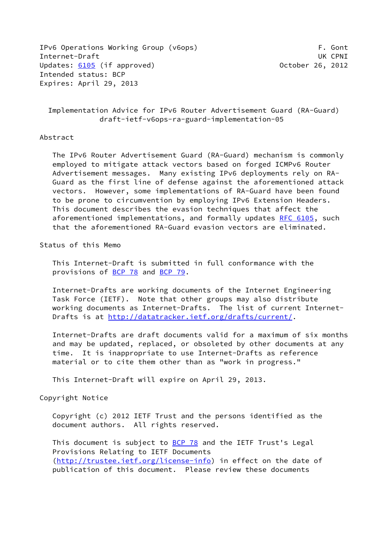IPv6 Operations Working Group (v6ops) The Contract of the Contract of the Contract of the Contract of the Cont Internet-Draft UK CPNI Updates: [6105](https://datatracker.ietf.org/doc/pdf/rfc6105) (if approved) 0ctober 26, 2012 Intended status: BCP Expires: April 29, 2013

 Implementation Advice for IPv6 Router Advertisement Guard (RA-Guard) draft-ietf-v6ops-ra-guard-implementation-05

## Abstract

 The IPv6 Router Advertisement Guard (RA-Guard) mechanism is commonly employed to mitigate attack vectors based on forged ICMPv6 Router Advertisement messages. Many existing IPv6 deployments rely on RA- Guard as the first line of defense against the aforementioned attack vectors. However, some implementations of RA-Guard have been found to be prone to circumvention by employing IPv6 Extension Headers. This document describes the evasion techniques that affect the aforementioned implementations, and formally updates [RFC 6105](https://datatracker.ietf.org/doc/pdf/rfc6105), such that the aforementioned RA-Guard evasion vectors are eliminated.

Status of this Memo

 This Internet-Draft is submitted in full conformance with the provisions of [BCP 78](https://datatracker.ietf.org/doc/pdf/bcp78) and [BCP 79](https://datatracker.ietf.org/doc/pdf/bcp79).

 Internet-Drafts are working documents of the Internet Engineering Task Force (IETF). Note that other groups may also distribute working documents as Internet-Drafts. The list of current Internet- Drafts is at<http://datatracker.ietf.org/drafts/current/>.

 Internet-Drafts are draft documents valid for a maximum of six months and may be updated, replaced, or obsoleted by other documents at any time. It is inappropriate to use Internet-Drafts as reference material or to cite them other than as "work in progress."

This Internet-Draft will expire on April 29, 2013.

Copyright Notice

 Copyright (c) 2012 IETF Trust and the persons identified as the document authors. All rights reserved.

This document is subject to **[BCP 78](https://datatracker.ietf.org/doc/pdf/bcp78)** and the IETF Trust's Legal Provisions Relating to IETF Documents [\(http://trustee.ietf.org/license-info](http://trustee.ietf.org/license-info)) in effect on the date of publication of this document. Please review these documents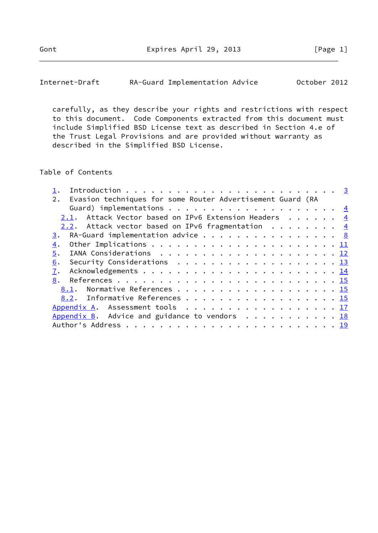Internet-Draft RA-Guard Implementation Advice October 2012

 carefully, as they describe your rights and restrictions with respect to this document. Code Components extracted from this document must include Simplified BSD License text as described in Section 4.e of the Trust Legal Provisions and are provided without warranty as described in the Simplified BSD License.

## Table of Contents

| Evasion techniques for some Router Advertisement Guard (RA<br>2.                              |  |  |  |
|-----------------------------------------------------------------------------------------------|--|--|--|
|                                                                                               |  |  |  |
| 2.1. Attack Vector based on IPv6 Extension Headers 4                                          |  |  |  |
| 2.2. Attack vector based on IPv6 fragmentation $\frac{4}{5}$                                  |  |  |  |
| RA-Guard implementation advice $\cdots$ 8<br>3.                                               |  |  |  |
| 4.                                                                                            |  |  |  |
| 5.                                                                                            |  |  |  |
| Security Considerations $\ldots \ldots \ldots \ldots \ldots \ldots \ldots \frac{13}{2}$<br>6. |  |  |  |
| 7.                                                                                            |  |  |  |
| 8.                                                                                            |  |  |  |
| 8.1. Normative References 15                                                                  |  |  |  |
| 8.2. Informative References 15                                                                |  |  |  |
| Appendix A. Assessment tools 17                                                               |  |  |  |
| Appendix B. Advice and guidance to vendors $\ldots$ 18                                        |  |  |  |
|                                                                                               |  |  |  |
|                                                                                               |  |  |  |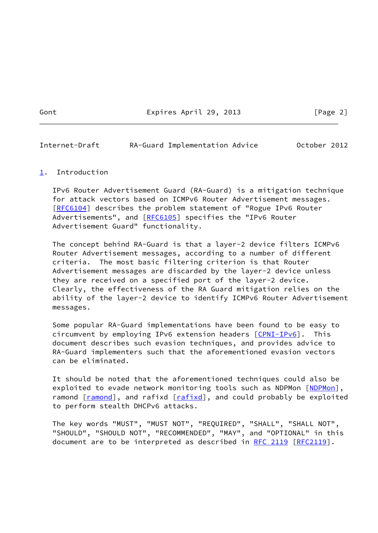Gont Expires April 29, 2013 [Page 2]

<span id="page-2-1"></span>Internet-Draft RA-Guard Implementation Advice October 2012

## <span id="page-2-0"></span>[1](#page-2-0). Introduction

 IPv6 Router Advertisement Guard (RA-Guard) is a mitigation technique for attack vectors based on ICMPv6 Router Advertisement messages. [\[RFC6104](https://datatracker.ietf.org/doc/pdf/rfc6104)] describes the problem statement of "Rogue IPv6 Router Advertisements", and [\[RFC6105](https://datatracker.ietf.org/doc/pdf/rfc6105)] specifies the "IPv6 Router Advertisement Guard" functionality.

 The concept behind RA-Guard is that a layer-2 device filters ICMPv6 Router Advertisement messages, according to a number of different criteria. The most basic filtering criterion is that Router Advertisement messages are discarded by the layer-2 device unless they are received on a specified port of the layer-2 device. Clearly, the effectiveness of the RA Guard mitigation relies on the ability of the layer-2 device to identify ICMPv6 Router Advertisement messages.

 Some popular RA-Guard implementations have been found to be easy to circumvent by employing IPv6 extension headers [\[CPNI-IPv6](#page-17-0)]. This document describes such evasion techniques, and provides advice to RA-Guard implementers such that the aforementioned evasion vectors can be eliminated.

 It should be noted that the aforementioned techniques could also be exploited to evade network monitoring tools such as [NDPMon](#page-17-1) [NDPMon], ramond [\[ramond](#page-17-2)], and rafixd [\[rafixd](#page-17-3)], and could probably be exploited to perform stealth DHCPv6 attacks.

 The key words "MUST", "MUST NOT", "REQUIRED", "SHALL", "SHALL NOT", "SHOULD", "SHOULD NOT", "RECOMMENDED", "MAY", and "OPTIONAL" in this document are to be interpreted as described in [RFC 2119 \[RFC2119](https://datatracker.ietf.org/doc/pdf/rfc2119)].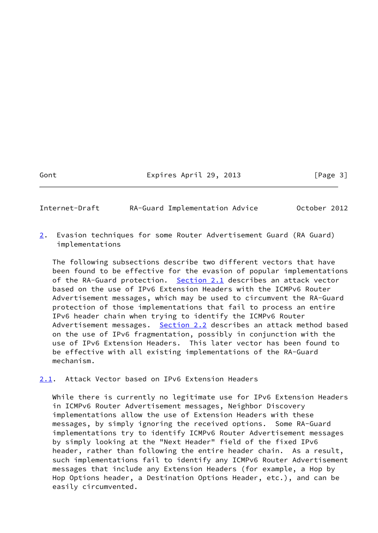Gont **Expires April 29, 2013** [Page 3]

<span id="page-3-0"></span>Internet-Draft RA-Guard Implementation Advice October 2012

<span id="page-3-2"></span>[2](#page-3-2). Evasion techniques for some Router Advertisement Guard (RA Guard) implementations

 The following subsections describe two different vectors that have been found to be effective for the evasion of popular implementations of the RA-Guard protection. [Section 2.1](#page-3-1) describes an attack vector based on the use of IPv6 Extension Headers with the ICMPv6 Router Advertisement messages, which may be used to circumvent the RA-Guard protection of those implementations that fail to process an entire IPv6 header chain when trying to identify the ICMPv6 Router Advertisement messages. [Section 2.2](#page-4-0) describes an attack method based on the use of IPv6 fragmentation, possibly in conjunction with the use of IPv6 Extension Headers. This later vector has been found to be effective with all existing implementations of the RA-Guard mechanism.

<span id="page-3-1"></span>[2.1](#page-3-1). Attack Vector based on IPv6 Extension Headers

 While there is currently no legitimate use for IPv6 Extension Headers in ICMPv6 Router Advertisement messages, Neighbor Discovery implementations allow the use of Extension Headers with these messages, by simply ignoring the received options. Some RA-Guard implementations try to identify ICMPv6 Router Advertisement messages by simply looking at the "Next Header" field of the fixed IPv6 header, rather than following the entire header chain. As a result, such implementations fail to identify any ICMPv6 Router Advertisement messages that include any Extension Headers (for example, a Hop by Hop Options header, a Destination Options Header, etc.), and can be easily circumvented.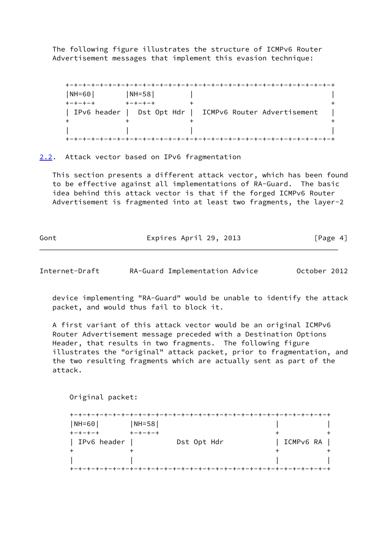The following figure illustrates the structure of ICMPv6 Router Advertisement messages that implement this evasion technique:

 +-+-+-+-+-+-+-+-+-+-+-+-+-+-+-+-+-+-+-+-+-+-+-+-+-+-+-+-+-+-+-+ |NH=60| |NH=58| | +-+-+-+ +-+-+-+ + + | IPv6 header | Dst Opt Hdr | ICMPv6 Router Advertisement  $+$  +  $+$  +  $+$  +  $+$  +  $+$  +  $+$  +  $+$  +  $+$  +  $+$  +  $+$  +  $+$  +  $+$  +  $+$  +  $+$  +  $+$  +  $+$  +  $+$  +  $+$  +  $+$  +  $+$  +  $+$  +  $+$  +  $+$  +  $+$  +  $+$  +  $+$  +  $+$  +  $+$  +  $+$  +  $+$  +  $+$  +  $+$  +  $+$  +  $+$  +  $+$  +  $+$  +  $+$  + | | | | +-+-+-+-+-+-+-+-+-+-+-+-+-+-+-+-+-+-+-+-+-+-+-+-+-+-+-+-+-+-+-+

<span id="page-4-0"></span>[2.2](#page-4-0). Attack vector based on IPv6 fragmentation

 This section presents a different attack vector, which has been found to be effective against all implementations of RA-Guard. The basic idea behind this attack vector is that if the forged ICMPv6 Router Advertisement is fragmented into at least two fragments, the layer-2

Gont Expires April 29, 2013 [Page 4]

Internet-Draft RA-Guard Implementation Advice October 2012

 device implementing "RA-Guard" would be unable to identify the attack packet, and would thus fail to block it.

 A first variant of this attack vector would be an original ICMPv6 Router Advertisement message preceded with a Destination Options Header, that results in two fragments. The following figure illustrates the "original" attack packet, prior to fragmentation, and the two resulting fragments which are actually sent as part of the attack.

Original packet:

| $NH = 60$     | $NH = 58$       |             |           |
|---------------|-----------------|-------------|-----------|
| $+-+ - + - +$ | $+ - + - + - +$ |             |           |
| IPv6 header   |                 | Dst Opt Hdr | ICMPv6 RA |
|               |                 |             |           |
|               |                 |             |           |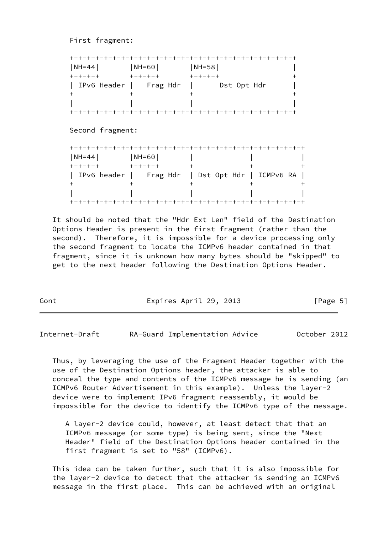First fragment:

|                  | -+-+-+-+-+             | -+-+-+-+-+-+-+-+-+-+-+                           |  |
|------------------|------------------------|--------------------------------------------------|--|
| NH=44            | NH=60                  | $ NH=58 $                                        |  |
| $+ - + - + - +$  | <b>+++++++</b>         | キーキーキーキ                                          |  |
|                  | IPv6 Header   Frag Hdr | Dst Opt Hdr                                      |  |
| +                |                        |                                                  |  |
|                  |                        |                                                  |  |
|                  |                        |                                                  |  |
| Second fragment: |                        |                                                  |  |
|                  |                        |                                                  |  |
| NH=44            | NH=60                  |                                                  |  |
| $+ - + - + - +$  | $+ - + - + - +$        | $\pm$                                            |  |
|                  |                        | IPv6 header   Frag Hdr   Dst Opt Hdr   ICMPv6 RA |  |
|                  |                        |                                                  |  |
|                  |                        |                                                  |  |

 It should be noted that the "Hdr Ext Len" field of the Destination Options Header is present in the first fragment (rather than the second). Therefore, it is impossible for a device processing only the second fragment to locate the ICMPv6 header contained in that fragment, since it is unknown how many bytes should be "skipped" to get to the next header following the Destination Options Header.

Gont Expires April 29, 2013 [Page 5]

Internet-Draft RA-Guard Implementation Advice October 2012

 Thus, by leveraging the use of the Fragment Header together with the use of the Destination Options header, the attacker is able to conceal the type and contents of the ICMPv6 message he is sending (an ICMPv6 Router Advertisement in this example). Unless the layer-2 device were to implement IPv6 fragment reassembly, it would be impossible for the device to identify the ICMPv6 type of the message.

 A layer-2 device could, however, at least detect that that an ICMPv6 message (or some type) is being sent, since the "Next Header" field of the Destination Options header contained in the first fragment is set to "58" (ICMPv6).

 This idea can be taken further, such that it is also impossible for the layer-2 device to detect that the attacker is sending an ICMPv6 message in the first place. This can be achieved with an original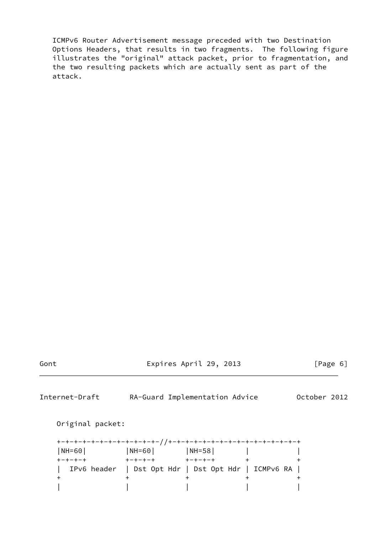ICMPv6 Router Advertisement message preceded with two Destination Options Headers, that results in two fragments. The following figure illustrates the "original" attack packet, prior to fragmentation, and the two resulting packets which are actually sent as part of the attack.

Gont Expires April 29, 2013 [Page 6]

Internet-Draft RA-Guard Implementation Advice October 2012

Original packet:

| $ NH = 60 $     | $ NH = 60 $                                         | $ NH=58 $     |  |
|-----------------|-----------------------------------------------------|---------------|--|
| $+ - + - + - +$ | $+ - + - + - +$                                     | $+-+ - + - +$ |  |
|                 | IPv6 header   Dst Opt Hdr   Dst Opt Hdr   ICMPv6 RA |               |  |
|                 |                                                     |               |  |
|                 |                                                     |               |  |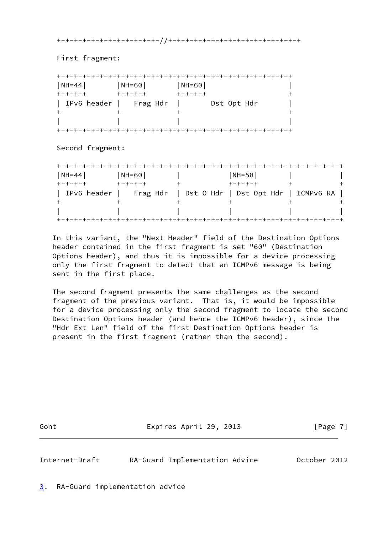+-+-+-+-+-+-+-+-+-+-+-+-//+-+-+-+-+-+-+-+-+-+-+-+-+-+-+-+

First fragment:

| $NH=44$         | $ NH = 60 $     | $ NH = 60 $     |
|-----------------|-----------------|-----------------|
| $+ - + - + - +$ | $+ - + - + - +$ | $+ - + - + - +$ |
| IPv6 header     | Frag Hdr        | Dst Opt Hdr     |
|                 |                 |                 |
|                 |                 |                 |

Second fragment:

| $NH=44$     | $NH = 60$ | $NH = 58$                                      |  |
|-------------|-----------|------------------------------------------------|--|
|             |           |                                                |  |
| IPv6 header |           | Frag Hdr   Dst O Hdr   Dst Opt Hdr   ICMPv6 RA |  |
|             |           |                                                |  |
|             |           |                                                |  |

 In this variant, the "Next Header" field of the Destination Options header contained in the first fragment is set "60" (Destination Options header), and thus it is impossible for a device processing only the first fragment to detect that an ICMPv6 message is being sent in the first place.

 The second fragment presents the same challenges as the second fragment of the previous variant. That is, it would be impossible for a device processing only the second fragment to locate the second Destination Options header (and hence the ICMPv6 header), since the "Hdr Ext Len" field of the first Destination Options header is present in the first fragment (rather than the second).

Gont **Expires April 29, 2013** [Page 7]

<span id="page-7-1"></span>Internet-Draft RA-Guard Implementation Advice October 2012

<span id="page-7-0"></span>[3](#page-7-0). RA-Guard implementation advice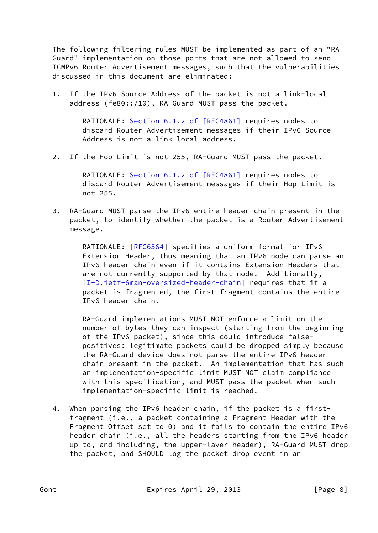The following filtering rules MUST be implemented as part of an "RA- Guard" implementation on those ports that are not allowed to send ICMPv6 Router Advertisement messages, such that the vulnerabilities discussed in this document are eliminated:

 1. If the IPv6 Source Address of the packet is not a link-local address (fe80::/10), RA-Guard MUST pass the packet.

> RATIONALE: Section [6.1.2 of \[RFC4861\]](https://datatracker.ietf.org/doc/pdf/rfc4861#section-6.1.2) requires nodes to discard Router Advertisement messages if their IPv6 Source Address is not a link-local address.

2. If the Hop Limit is not 255, RA-Guard MUST pass the packet.

 RATIONALE: Section [6.1.2 of \[RFC4861\]](https://datatracker.ietf.org/doc/pdf/rfc4861#section-6.1.2) requires nodes to discard Router Advertisement messages if their Hop Limit is not 255.

 3. RA-Guard MUST parse the IPv6 entire header chain present in the packet, to identify whether the packet is a Router Advertisement message.

> RATIONALE: [[RFC6564](https://datatracker.ietf.org/doc/pdf/rfc6564)] specifies a uniform format for IPv6 Extension Header, thus meaning that an IPv6 node can parse an IPv6 header chain even if it contains Extension Headers that are not currently supported by that node. Additionally, [\[I-D.ietf-6man-oversized-header-chain](#page-16-1)] requires that if a packet is fragmented, the first fragment contains the entire IPv6 header chain.

> RA-Guard implementations MUST NOT enforce a limit on the number of bytes they can inspect (starting from the beginning of the IPv6 packet), since this could introduce false positives: legitimate packets could be dropped simply because the RA-Guard device does not parse the entire IPv6 header chain present in the packet. An implementation that has such an implementation-specific limit MUST NOT claim compliance with this specification, and MUST pass the packet when such implementation-specific limit is reached.

 4. When parsing the IPv6 header chain, if the packet is a first fragment (i.e., a packet containing a Fragment Header with the Fragment Offset set to 0) and it fails to contain the entire IPv6 header chain (i.e., all the headers starting from the IPv6 header up to, and including, the upper-layer header), RA-Guard MUST drop the packet, and SHOULD log the packet drop event in an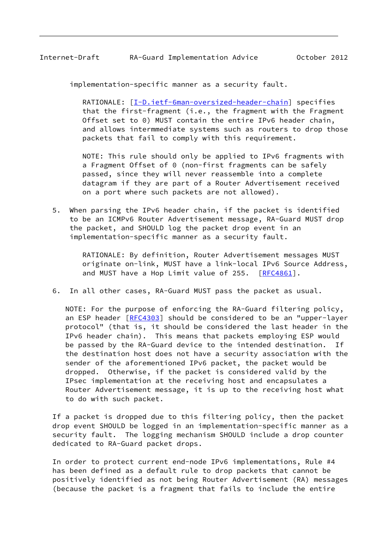implementation-specific manner as a security fault.

 RATIONALE: [[I-D.ietf-6man-oversized-header-chain\]](#page-16-1) specifies that the first-fragment (i.e., the fragment with the Fragment Offset set to 0) MUST contain the entire IPv6 header chain, and allows intermmediate systems such as routers to drop those packets that fail to comply with this requirement.

 NOTE: This rule should only be applied to IPv6 fragments with a Fragment Offset of 0 (non-first fragments can be safely passed, since they will never reassemble into a complete datagram if they are part of a Router Advertisement received on a port where such packets are not allowed).

 5. When parsing the IPv6 header chain, if the packet is identified to be an ICMPv6 Router Advertisement message, RA-Guard MUST drop the packet, and SHOULD log the packet drop event in an implementation-specific manner as a security fault.

> RATIONALE: By definition, Router Advertisement messages MUST originate on-link, MUST have a link-local IPv6 Source Address, and MUST have a Hop Limit value of 255. [\[RFC4861](https://datatracker.ietf.org/doc/pdf/rfc4861)].

6. In all other cases, RA-Guard MUST pass the packet as usual.

 NOTE: For the purpose of enforcing the RA-Guard filtering policy, an ESP header [\[RFC4303](https://datatracker.ietf.org/doc/pdf/rfc4303)] should be considered to be an "upper-layer protocol" (that is, it should be considered the last header in the IPv6 header chain). This means that packets employing ESP would be passed by the RA-Guard device to the intended destination. If the destination host does not have a security association with the sender of the aforementioned IPv6 packet, the packet would be dropped. Otherwise, if the packet is considered valid by the IPsec implementation at the receiving host and encapsulates a Router Advertisement message, it is up to the receiving host what to do with such packet.

 If a packet is dropped due to this filtering policy, then the packet drop event SHOULD be logged in an implementation-specific manner as a security fault. The logging mechanism SHOULD include a drop counter dedicated to RA-Guard packet drops.

 In order to protect current end-node IPv6 implementations, Rule #4 has been defined as a default rule to drop packets that cannot be positively identified as not being Router Advertisement (RA) messages (because the packet is a fragment that fails to include the entire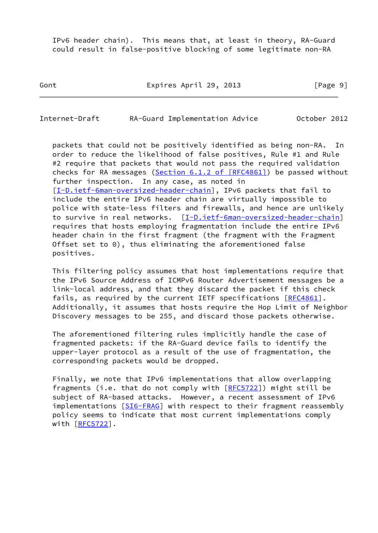IPv6 header chain). This means that, at least in theory, RA-Guard could result in false-positive blocking of some legitimate non-RA

Gont Expires April 29, 2013 [Page 9]

Internet-Draft RA-Guard Implementation Advice October 2012

 packets that could not be positively identified as being non-RA. In order to reduce the likelihood of false positives, Rule #1 and Rule #2 require that packets that would not pass the required validation checks for RA messages (Section  $6.1.2$  of  $[REC4861]$ ) be passed without further inspection. In any case, as noted in [\[I-D.ietf-6man-oversized-header-chain](#page-16-1)], IPv6 packets that fail to include the entire IPv6 header chain are virtually impossible to police with state-less filters and firewalls, and hence are unlikely to survive in real networks. [[I-D.ietf-6man-oversized-header-chain\]](#page-16-1) requires that hosts employing fragmentation include the entire IPv6 header chain in the first fragment (the fragment with the Fragment Offset set to 0), thus eliminating the aforementioned false positives.

 This filtering policy assumes that host implementations require that the IPv6 Source Address of ICMPv6 Router Advertisement messages be a link-local address, and that they discard the packet if this check fails, as required by the current IETF specifications [[RFC4861](https://datatracker.ietf.org/doc/pdf/rfc4861)]. Additionally, it assumes that hosts require the Hop Limit of Neighbor Discovery messages to be 255, and discard those packets otherwise.

 The aforementioned filtering rules implicitly handle the case of fragmented packets: if the RA-Guard device fails to identify the upper-layer protocol as a result of the use of fragmentation, the corresponding packets would be dropped.

 Finally, we note that IPv6 implementations that allow overlapping fragments (i.e. that do not comply with  $[REC5722]$ ) might still be subject of RA-based attacks. However, a recent assessment of IPv6 implementations [\[SI6-FRAG](#page-17-4)] with respect to their fragment reassembly policy seems to indicate that most current implementations comply with [\[RFC5722](https://datatracker.ietf.org/doc/pdf/rfc5722)].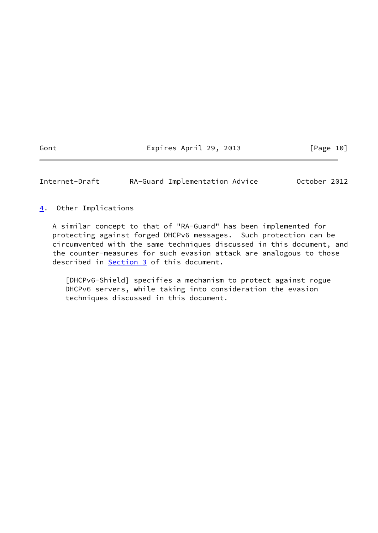Gont **Expires April 29, 2013** [Page 10]

<span id="page-11-1"></span>Internet-Draft RA-Guard Implementation Advice October 2012

<span id="page-11-0"></span>[4](#page-11-0). Other Implications

 A similar concept to that of "RA-Guard" has been implemented for protecting against forged DHCPv6 messages. Such protection can be circumvented with the same techniques discussed in this document, and the counter-measures for such evasion attack are analogous to those described in [Section 3](#page-7-0) of this document.

<span id="page-11-2"></span> [DHCPv6-Shield] specifies a mechanism to protect against rogue DHCPv6 servers, while taking into consideration the evasion techniques discussed in this document.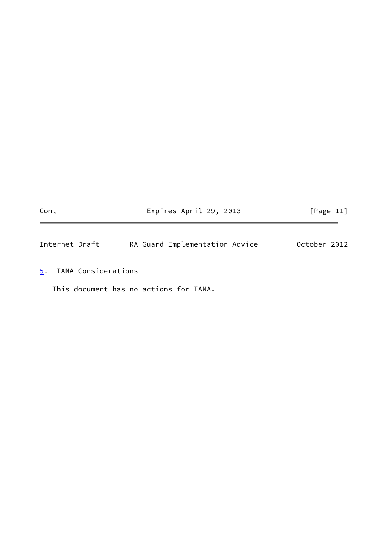Gont **Expires April 29, 2013** [Page 11]

<span id="page-12-1"></span>Internet-Draft RA-Guard Implementation Advice October 2012

<span id="page-12-0"></span>[5](#page-12-0). IANA Considerations

This document has no actions for IANA.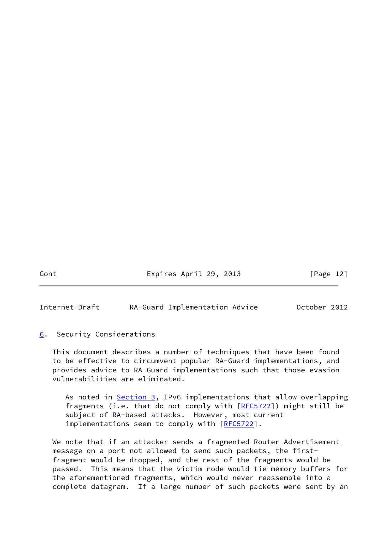Gont **Expires April 29, 2013** [Page 12]

<span id="page-13-1"></span>Internet-Draft RA-Guard Implementation Advice October 2012

# <span id="page-13-0"></span>[6](#page-13-0). Security Considerations

 This document describes a number of techniques that have been found to be effective to circumvent popular RA-Guard implementations, and provides advice to RA-Guard implementations such that those evasion vulnerabilities are eliminated.

As noted in [Section 3,](#page-7-0) IPv6 implementations that allow overlapping fragments (i.e. that do not comply with  $[REC5722]$ ) might still be subject of RA-based attacks. However, most current implementations seem to comply with [\[RFC5722](https://datatracker.ietf.org/doc/pdf/rfc5722)].

We note that if an attacker sends a fragmented Router Advertisement message on a port not allowed to send such packets, the first fragment would be dropped, and the rest of the fragments would be passed. This means that the victim node would tie memory buffers for the aforementioned fragments, which would never reassemble into a complete datagram. If a large number of such packets were sent by an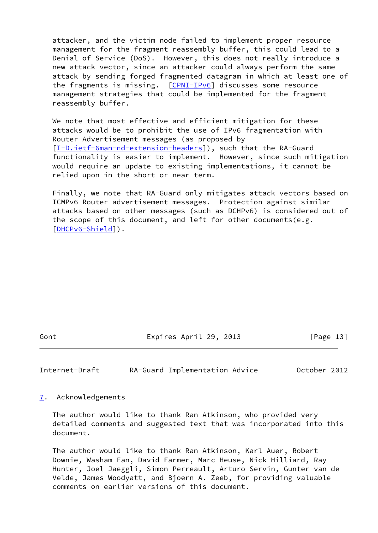attacker, and the victim node failed to implement proper resource management for the fragment reassembly buffer, this could lead to a Denial of Service (DoS). However, this does not really introduce a new attack vector, since an attacker could always perform the same attack by sending forged fragmented datagram in which at least one of the fragments is missing. [[CPNI-IPv6\]](#page-17-0) discusses some resource management strategies that could be implemented for the fragment reassembly buffer.

We note that most effective and efficient mitigation for these attacks would be to prohibit the use of IPv6 fragmentation with Router Advertisement messages (as proposed by [\[I-D.ietf-6man-nd-extension-headers\]](#page-16-2)), such that the RA-Guard functionality is easier to implement. However, since such mitigation would require an update to existing implementations, it cannot be relied upon in the short or near term.

 Finally, we note that RA-Guard only mitigates attack vectors based on ICMPv6 Router advertisement messages. Protection against similar attacks based on other messages (such as DCHPv6) is considered out of the scope of this document, and left for other documents(e.g. [\[DHCPv6-Shield](#page-11-2)]).

Gont Expires April 29, 2013 [Page 13]

<span id="page-14-1"></span>Internet-Draft RA-Guard Implementation Advice October 2012

<span id="page-14-0"></span>[7](#page-14-0). Acknowledgements

 The author would like to thank Ran Atkinson, who provided very detailed comments and suggested text that was incorporated into this document.

 The author would like to thank Ran Atkinson, Karl Auer, Robert Downie, Washam Fan, David Farmer, Marc Heuse, Nick Hilliard, Ray Hunter, Joel Jaeggli, Simon Perreault, Arturo Servin, Gunter van de Velde, James Woodyatt, and Bjoern A. Zeeb, for providing valuable comments on earlier versions of this document.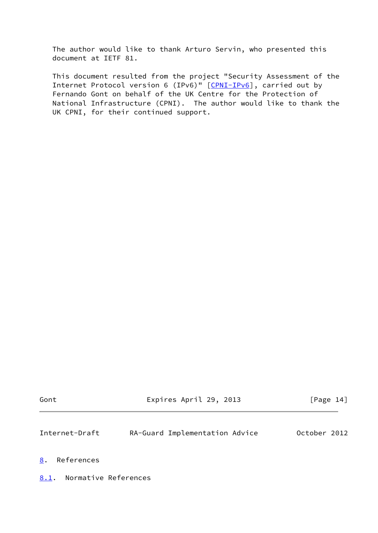The author would like to thank Arturo Servin, who presented this document at IETF 81.

 This document resulted from the project "Security Assessment of the Internet Protocol version 6 (IPv6)" [\[CPNI-IPv6](#page-17-0)], carried out by Fernando Gont on behalf of the UK Centre for the Protection of National Infrastructure (CPNI). The author would like to thank the UK CPNI, for their continued support.

| Gont | Expires April 29, 2013 | [Page 14] |
|------|------------------------|-----------|
|      |                        |           |

<span id="page-15-1"></span>Internet-Draft RA-Guard Implementation Advice October 2012

#### <span id="page-15-0"></span>[8](#page-15-0). References

<span id="page-15-2"></span>[8.1](#page-15-2). Normative References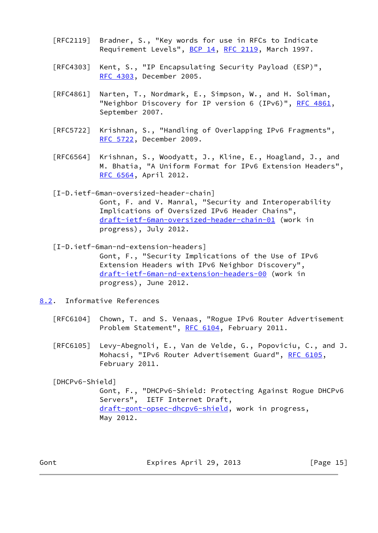- [RFC2119] Bradner, S., "Key words for use in RFCs to Indicate Requirement Levels", [BCP 14](https://datatracker.ietf.org/doc/pdf/bcp14), [RFC 2119](https://datatracker.ietf.org/doc/pdf/rfc2119), March 1997.
- [RFC4303] Kent, S., "IP Encapsulating Security Payload (ESP)", [RFC 4303,](https://datatracker.ietf.org/doc/pdf/rfc4303) December 2005.
- [RFC4861] Narten, T., Nordmark, E., Simpson, W., and H. Soliman, "Neighbor Discovery for IP version 6 (IPv6)", [RFC 4861](https://datatracker.ietf.org/doc/pdf/rfc4861), September 2007.
- [RFC5722] Krishnan, S., "Handling of Overlapping IPv6 Fragments", [RFC 5722,](https://datatracker.ietf.org/doc/pdf/rfc5722) December 2009.
- [RFC6564] Krishnan, S., Woodyatt, J., Kline, E., Hoagland, J., and M. Bhatia, "A Uniform Format for IPv6 Extension Headers", [RFC 6564,](https://datatracker.ietf.org/doc/pdf/rfc6564) April 2012.

<span id="page-16-1"></span> [I-D.ietf-6man-oversized-header-chain] Gont, F. and V. Manral, "Security and Interoperability Implications of Oversized IPv6 Header Chains", [draft-ietf-6man-oversized-header-chain-01](https://datatracker.ietf.org/doc/pdf/draft-ietf-6man-oversized-header-chain-01) (work in progress), July 2012.

<span id="page-16-2"></span> [I-D.ietf-6man-nd-extension-headers] Gont, F., "Security Implications of the Use of IPv6 Extension Headers with IPv6 Neighbor Discovery", [draft-ietf-6man-nd-extension-headers-00](https://datatracker.ietf.org/doc/pdf/draft-ietf-6man-nd-extension-headers-00) (work in progress), June 2012.

- <span id="page-16-0"></span>[8.2](#page-16-0). Informative References
	- [RFC6104] Chown, T. and S. Venaas, "Rogue IPv6 Router Advertisement Problem Statement", [RFC 6104,](https://datatracker.ietf.org/doc/pdf/rfc6104) February 2011.
	- [RFC6105] Levy-Abegnoli, E., Van de Velde, G., Popoviciu, C., and J. Mohacsi, "IPv6 Router Advertisement Guard", [RFC 6105,](https://datatracker.ietf.org/doc/pdf/rfc6105) February 2011.

 [DHCPv6-Shield] Gont, F., "DHCPv6-Shield: Protecting Against Rogue DHCPv6 Servers", IETF Internet Draft, [draft-gont-opsec-dhcpv6-shield](https://datatracker.ietf.org/doc/pdf/draft-gont-opsec-dhcpv6-shield), work in progress, May 2012.

Gont Expires April 29, 2013 [Page 15]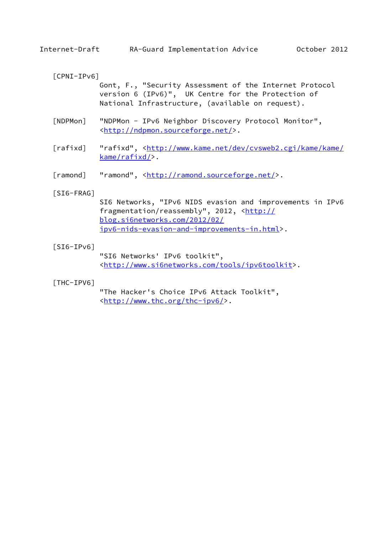## <span id="page-17-0"></span>[CPNI-IPv6]

 Gont, F., "Security Assessment of the Internet Protocol version 6 (IPv6)", UK Centre for the Protection of National Infrastructure, (available on request).

- <span id="page-17-1"></span> [NDPMon] "NDPMon - IPv6 Neighbor Discovery Protocol Monitor", <<http://ndpmon.sourceforge.net/>>.
- <span id="page-17-3"></span>[rafixd] "rafixd", [<http://www.kame.net/dev/cvsweb2.cgi/kame/kame/](http://www.kame.net/dev/cvsweb2.cgi/kame/kame/kame/rafixd/) [kame/rafixd/>](http://www.kame.net/dev/cvsweb2.cgi/kame/kame/kame/rafixd/).
- <span id="page-17-2"></span>[ramond] "ramond", [<http://ramond.sourceforge.net/](http://ramond.sourceforge.net/)>.

#### <span id="page-17-4"></span>[SI6-FRAG]

 SI6 Networks, "IPv6 NIDS evasion and improvements in IPv6 fragmentation/reassembly", 2012, [<http://](http://blog.si6networks.com/2012/02/ipv6-nids-evasion-and-improvements-in.html) [blog.si6networks.com/2012/02/](http://blog.si6networks.com/2012/02/ipv6-nids-evasion-and-improvements-in.html) [ipv6-nids-evasion-and-improvements-in.html>](http://blog.si6networks.com/2012/02/ipv6-nids-evasion-and-improvements-in.html).

#### $[SI6-IPV6]$

 "SI6 Networks' IPv6 toolkit", <[http://www.si6networks.com/tools/ipv6toolkit>](http://www.si6networks.com/tools/ipv6toolkit).

#### [THC-IPV6]

 "The Hacker's Choice IPv6 Attack Toolkit", <[http://www.thc.org/thc-ipv6/>](http://www.thc.org/thc-ipv6/).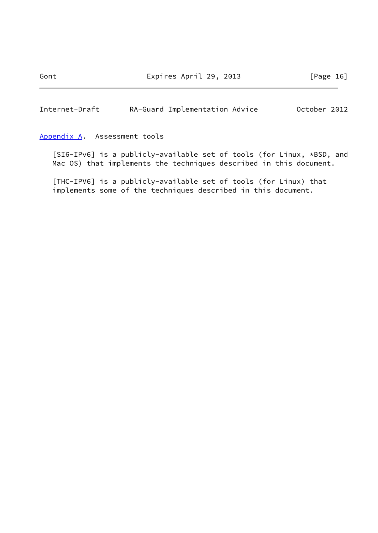<span id="page-18-1"></span>Internet-Draft RA-Guard Implementation Advice October 2012

## <span id="page-18-0"></span>[Appendix A.](#page-18-0) Assessment tools

 [SI6-IPv6] is a publicly-available set of tools (for Linux, \*BSD, and Mac OS) that implements the techniques described in this document.

 [THC-IPV6] is a publicly-available set of tools (for Linux) that implements some of the techniques described in this document.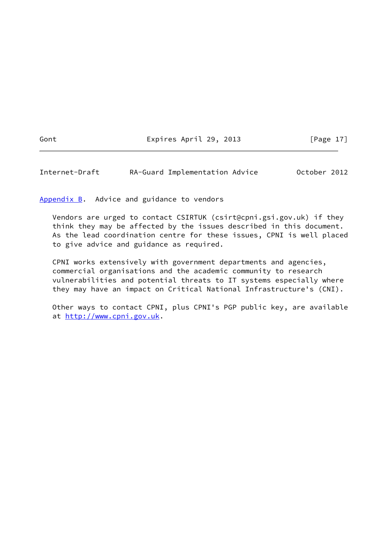Gont **Expires April 29, 2013** [Page 17]

<span id="page-19-1"></span>Internet-Draft RA-Guard Implementation Advice October 2012

<span id="page-19-0"></span>[Appendix B.](#page-19-0) Advice and guidance to vendors

 Vendors are urged to contact CSIRTUK (csirt@cpni.gsi.gov.uk) if they think they may be affected by the issues described in this document. As the lead coordination centre for these issues, CPNI is well placed to give advice and guidance as required.

 CPNI works extensively with government departments and agencies, commercial organisations and the academic community to research vulnerabilities and potential threats to IT systems especially where they may have an impact on Critical National Infrastructure's (CNI).

 Other ways to contact CPNI, plus CPNI's PGP public key, are available at <http://www.cpni.gov.uk>.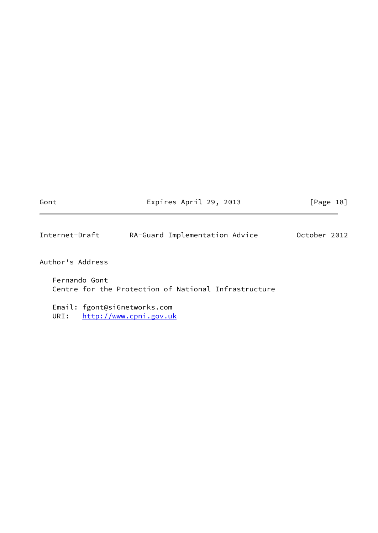<span id="page-20-0"></span>

| Gont                                 | Expires April 29, 2013                               | [Page 18]    |
|--------------------------------------|------------------------------------------------------|--------------|
| Internet-Draft                       | RA-Guard Implementation Advice                       | October 2012 |
| Author's Address                     |                                                      |              |
| Fernando Gont                        | Centre for the Protection of National Infrastructure |              |
| Email: fgont@si6networks.com<br>URI: | http://www.cpni.gov.uk                               |              |